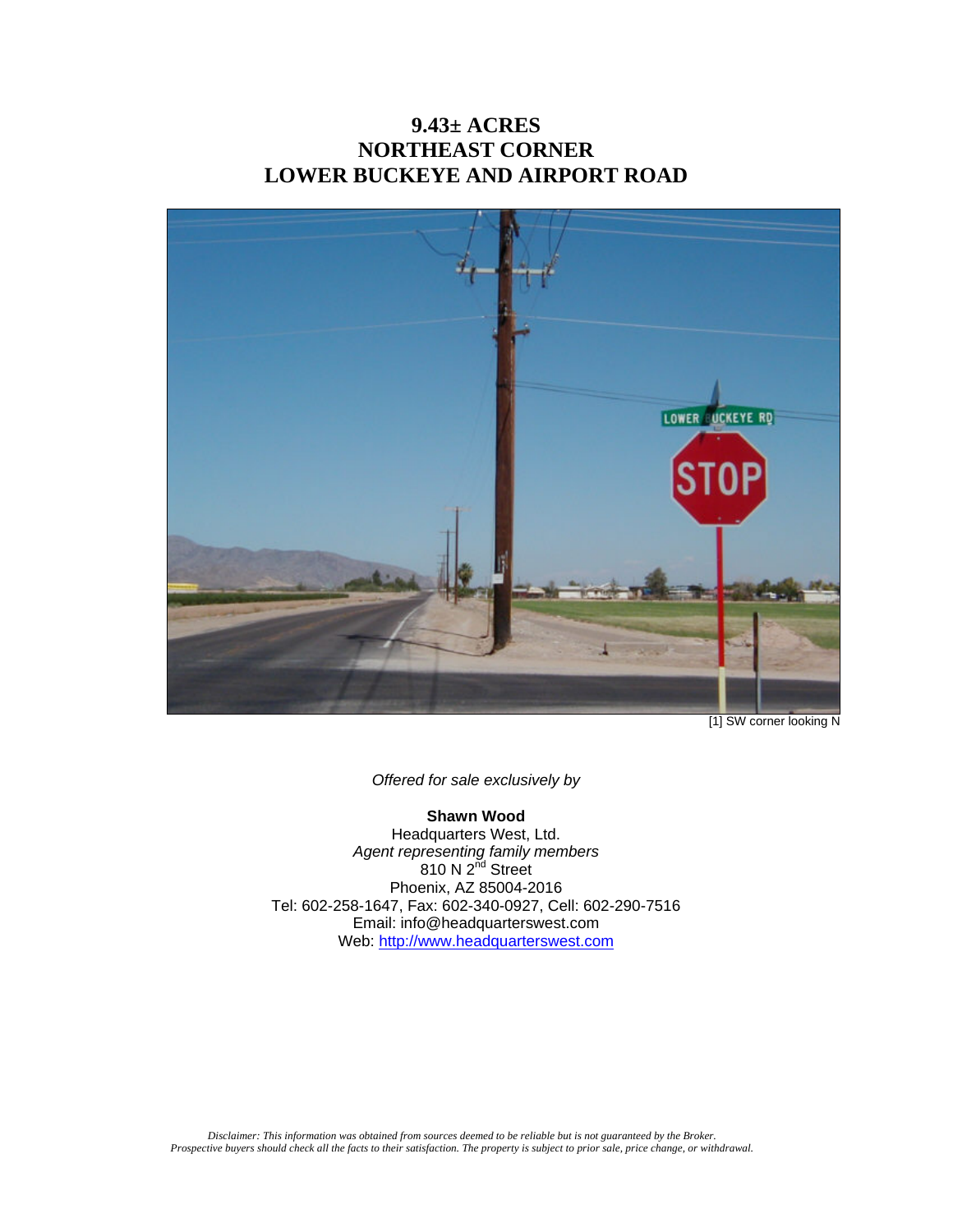## **9.43± ACRES NORTHEAST CORNER LOWER BUCKEYE AND AIRPORT ROAD**



[1] SW corner looking N

*Offered for sale exclusively by* 

### **Shawn Wood**

Headquarters West, Ltd. *Agent representing family members*  810 N  $2^{nd}$  Street Phoenix, AZ 85004-2016 Tel: 602-258-1647, Fax: 602-340-0927, Cell: 602-290-7516 Email: info@headquarterswest.com Web: http://www.headquarterswest.com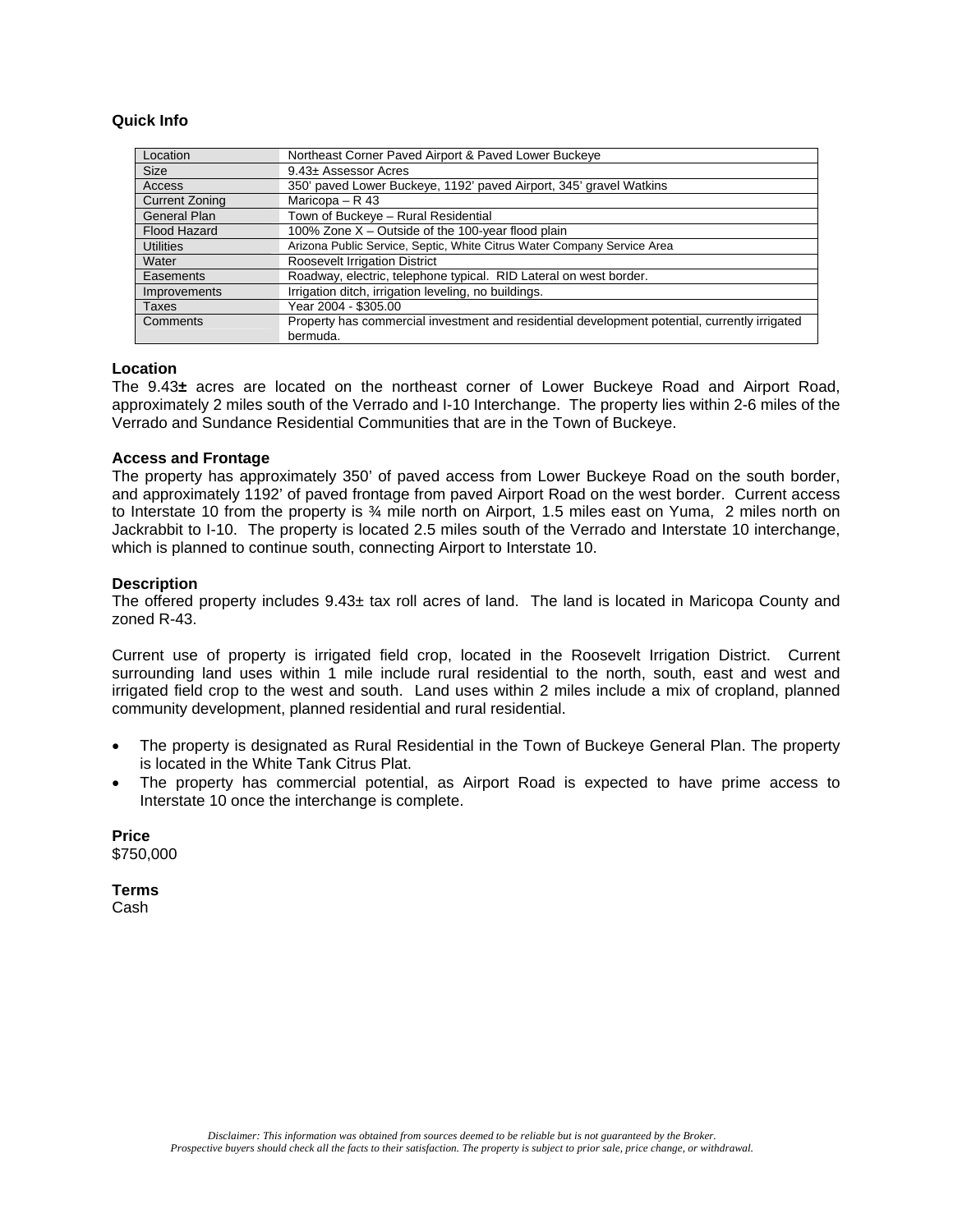#### **Quick Info**

| Location              | Northeast Corner Paved Airport & Paved Lower Buckeye                                          |
|-----------------------|-----------------------------------------------------------------------------------------------|
| <b>Size</b>           | 9.43± Assessor Acres                                                                          |
| Access                | 350' paved Lower Buckeye, 1192' paved Airport, 345' gravel Watkins                            |
| <b>Current Zoning</b> | Maricopa – $R$ 43                                                                             |
| <b>General Plan</b>   | Town of Buckeye - Rural Residential                                                           |
| <b>Flood Hazard</b>   | 100% Zone X - Outside of the 100-year flood plain                                             |
| <b>Utilities</b>      | Arizona Public Service, Septic, White Citrus Water Company Service Area                       |
| Water                 | <b>Roosevelt Irrigation District</b>                                                          |
| Easements             | Roadway, electric, telephone typical. RID Lateral on west border.                             |
| <b>Improvements</b>   | Irrigation ditch, irrigation leveling, no buildings.                                          |
| Taxes                 | Year 2004 - \$305.00                                                                          |
| Comments              | Property has commercial investment and residential development potential, currently irrigated |
|                       | bermuda.                                                                                      |

#### **Location**

The 9.43**±** acres are located on the northeast corner of Lower Buckeye Road and Airport Road, approximately 2 miles south of the Verrado and I-10 Interchange. The property lies within 2-6 miles of the Verrado and Sundance Residential Communities that are in the Town of Buckeye.

#### **Access and Frontage**

The property has approximately 350' of paved access from Lower Buckeye Road on the south border, and approximately 1192' of paved frontage from paved Airport Road on the west border. Current access to Interstate 10 from the property is  $\frac{3}{4}$  mile north on Airport, 1.5 miles east on Yuma, 2 miles north on Jackrabbit to I-10. The property is located 2.5 miles south of the Verrado and Interstate 10 interchange, which is planned to continue south, connecting Airport to Interstate 10.

#### **Description**

The offered property includes  $9.43<sub>±</sub>$  tax roll acres of land. The land is located in Maricopa County and zoned R-43.

Current use of property is irrigated field crop, located in the Roosevelt Irrigation District. Current surrounding land uses within 1 mile include rural residential to the north, south, east and west and irrigated field crop to the west and south. Land uses within 2 miles include a mix of cropland, planned community development, planned residential and rural residential.

- The property is designated as Rural Residential in the Town of Buckeye General Plan. The property is located in the White Tank Citrus Plat.
- The property has commercial potential, as Airport Road is expected to have prime access to Interstate 10 once the interchange is complete.

**Price**  \$750,000

**Terms**  Cash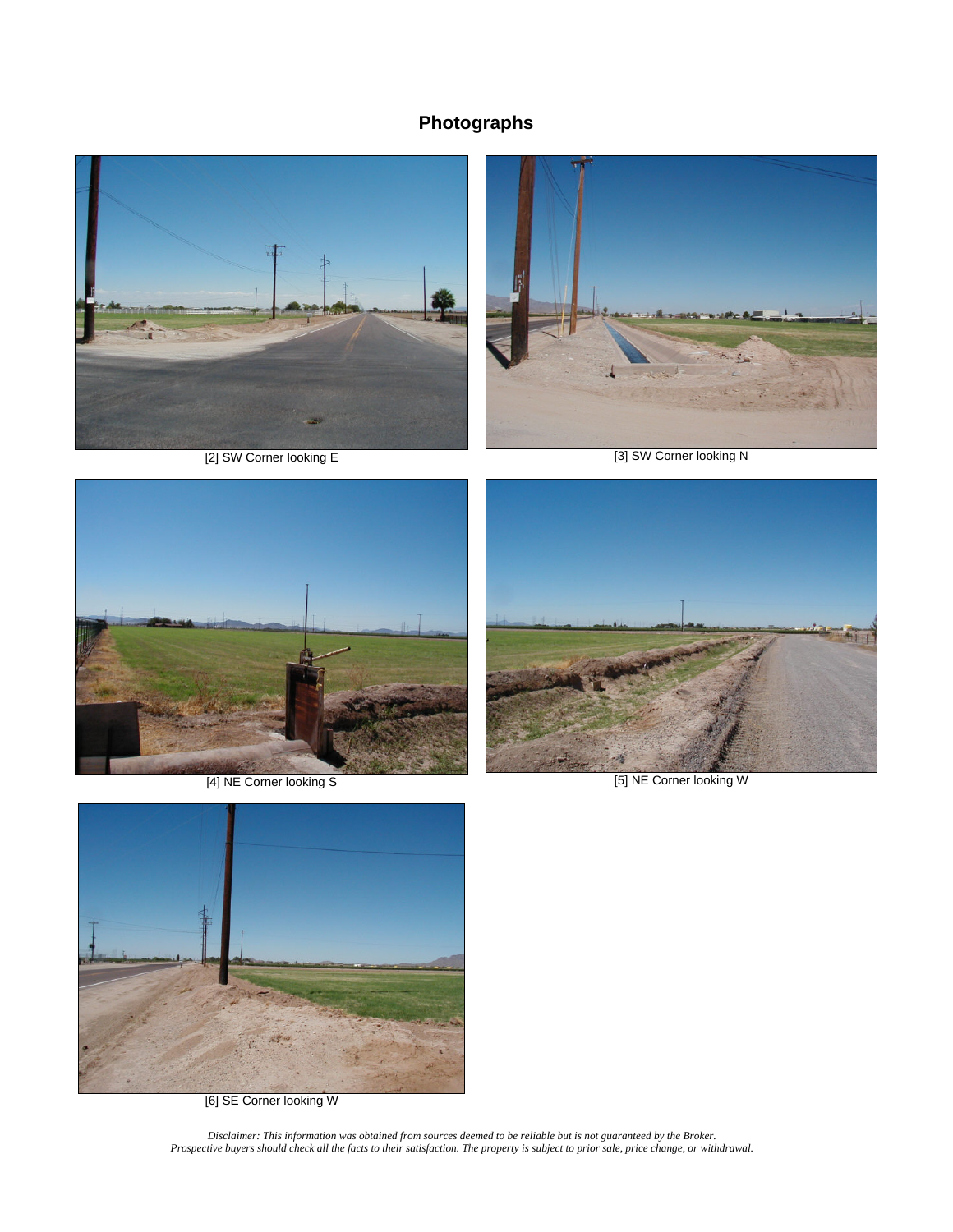# **Photographs**





[2] SW Corner looking E [3] SW Corner looking N







[6] SE Corner looking W

*Disclaimer: This information was obtained from sources deemed to be reliable but is not guaranteed by the Broker. Prospective buyers should check all the facts to their satisfaction. The property is subject to prior sale, price change, or withdrawal.*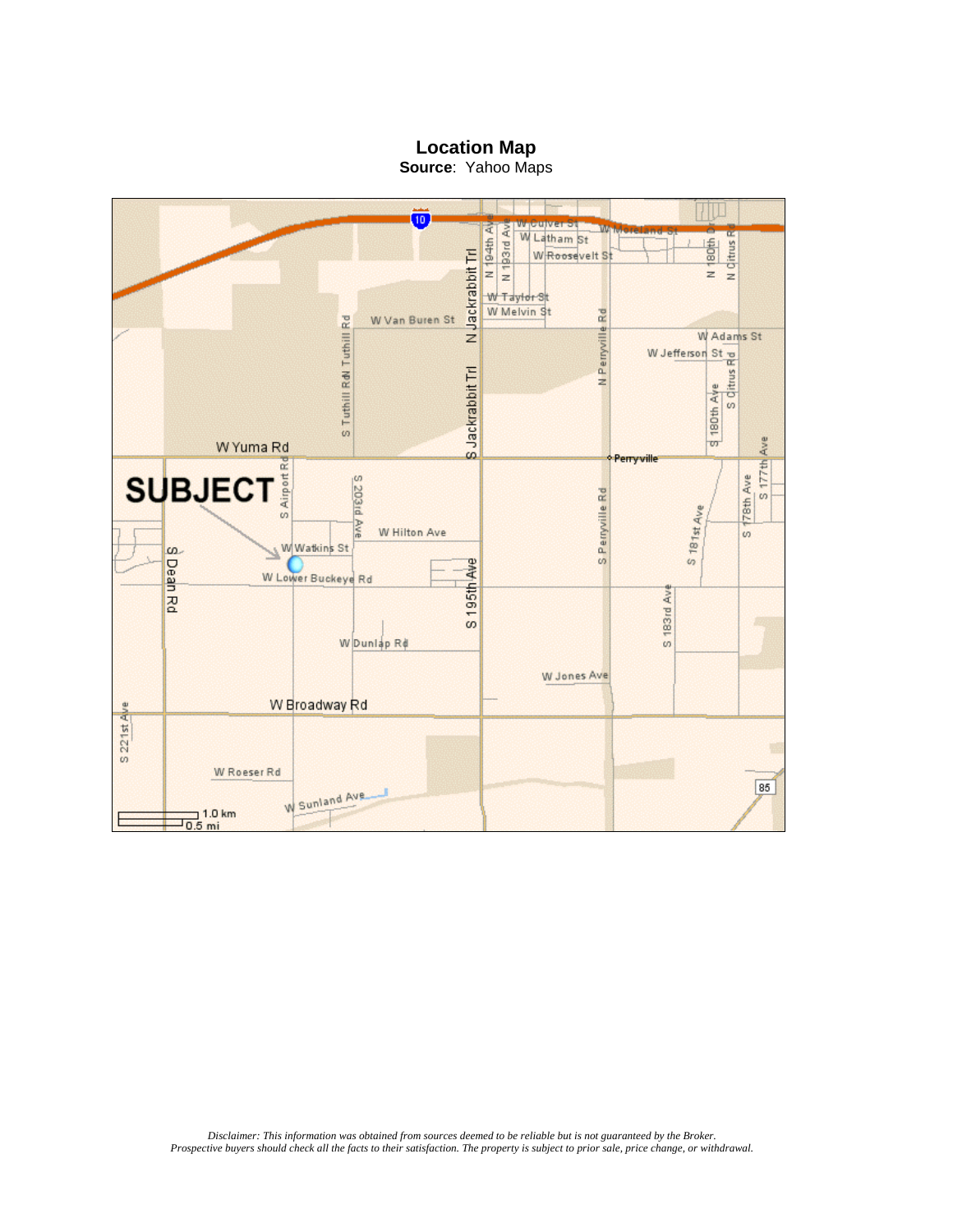**Location Map**



**Source**: Yahoo Maps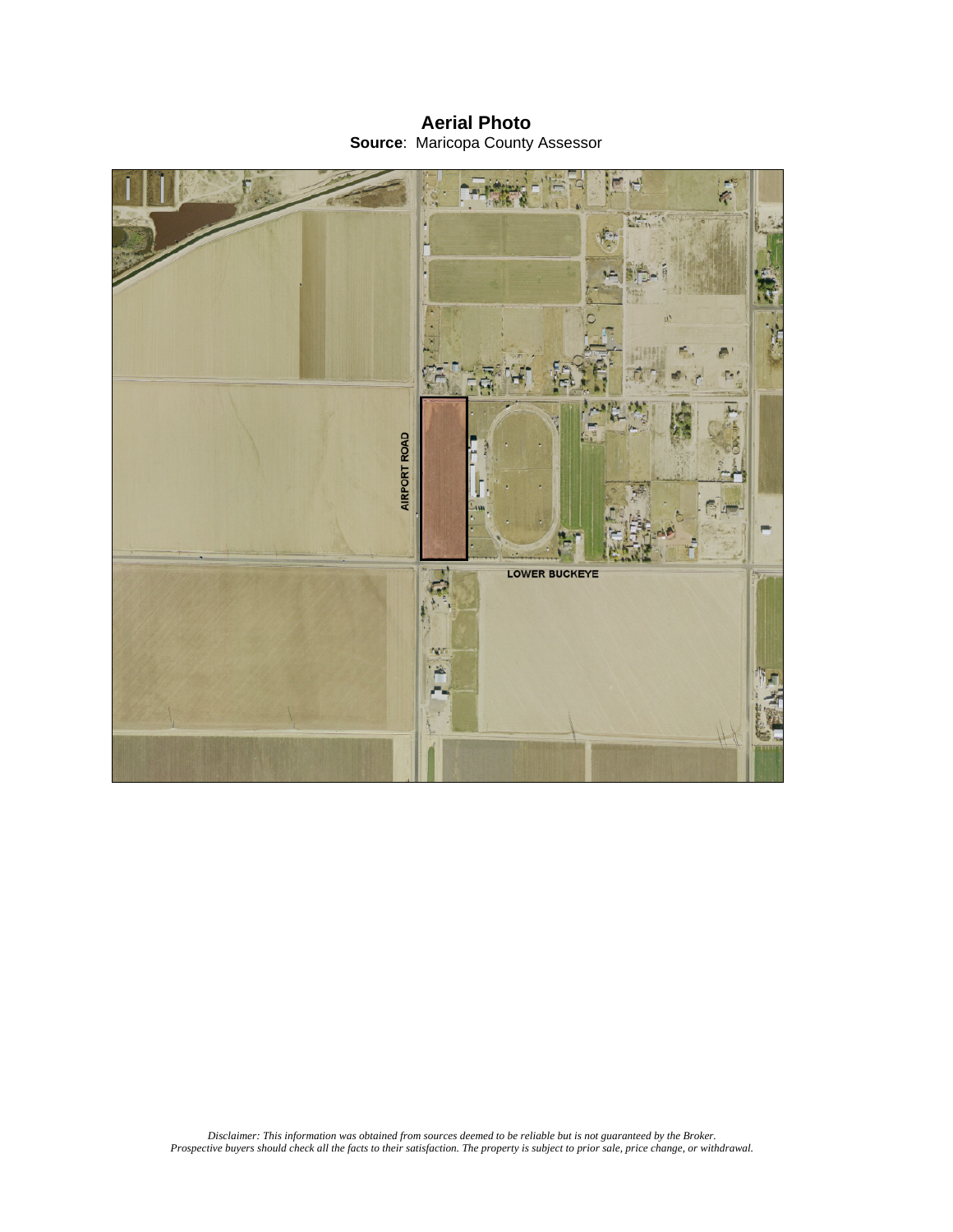**Aerial Photo Source**: Maricopa County Assessor